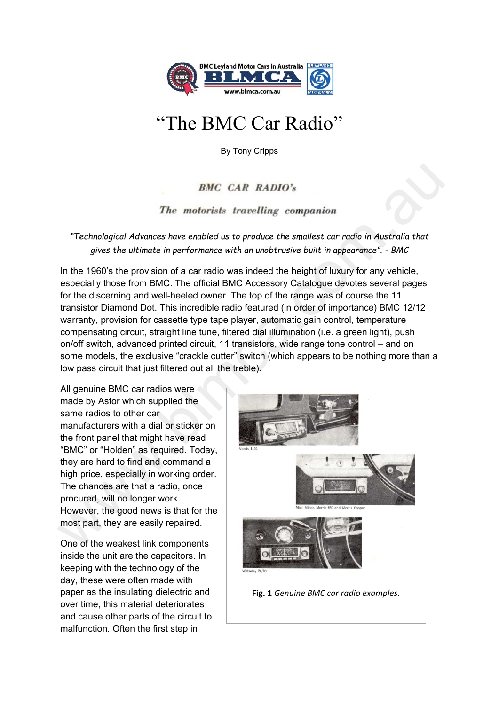

## "The BMC Car Radio"

By Tony Cripps

## *"Technological Advances have enabled us to produce the smallest car radio in Australia that gives the ultimate in performance with an unobtrusive built in appearance". - BMC*

In the 1960's the provision of a car radio was indeed the height of luxury for any vehicle, especially those from BMC. The official BMC Accessory Catalogue devotes several pages for the discerning and well-heeled owner. The top of the range was of course the 11 transistor Diamond Dot. This incredible radio featured (in order of importance) BMC 12/12 warranty, provision for cassette type tape player, automatic gain control, temperature compensating circuit, straight line tune, filtered dial illumination (i.e. a green light), push on/off switch, advanced printed circuit, 11 transistors, wide range tone control – and on some models, the exclusive "crackle cutter" switch (which appears to be nothing more than a low pass circuit that just filtered out all the treble). BMC CAR RADIO's<br>
Technological Advances have enabled us to produce the smallest car radio in Australia that<br>
gives the ultimate in performance with an unobtristive built in appearance". - BMC<br>
In the 1960's the provision o

All genuine BMC car radios were made by Astor which supplied the same radios to other car manufacturers with a dial or sticker on the front panel that might have read "BMC" or "Holden" as required. Today, they are hard to find and command a high price, especially in working order. The chances are that a radio, once procured, will no longer work. However, the good news is that for the most part, they are easily repaired.

One of the weakest link components inside the unit are the capacitors. In keeping with the technology of the day, these were often made with paper as the insulating dielectric and over time, this material deteriorates and cause other parts of the circuit to malfunction. Often the first step in

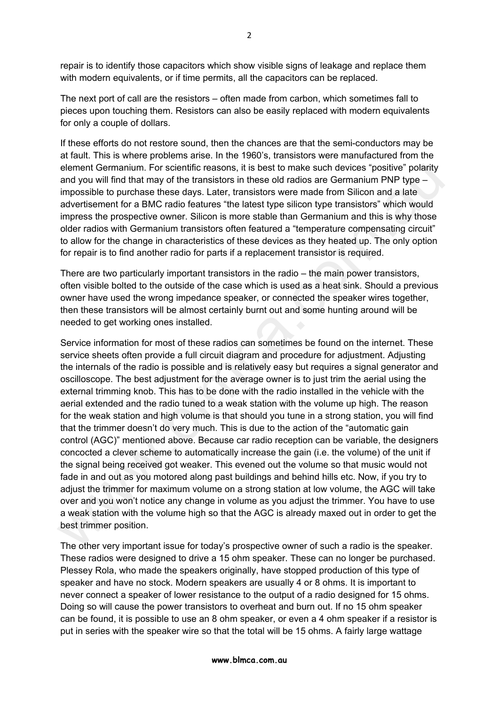repair is to identify those capacitors which show visible signs of leakage and replace them with modern equivalents, or if time permits, all the capacitors can be replaced.

The next port of call are the resistors – often made from carbon, which sometimes fall to pieces upon touching them. Resistors can also be easily replaced with modern equivalents for only a couple of dollars.

If these efforts do not restore sound, then the chances are that the semi-conductors may be at fault. This is where problems arise. In the 1960's, transistors were manufactured from the element Germanium. For scientific reasons, it is best to make such devices "positive" polarity and you will find that may of the transistors in these old radios are Germanium PNP type – impossible to purchase these days. Later, transistors were made from Silicon and a late advertisement for a BMC radio features "the latest type silicon type transistors" which would impress the prospective owner. Silicon is more stable than Germanium and this is why those older radios with Germanium transistors often featured a "temperature compensating circuit" to allow for the change in characteristics of these devices as they heated up. The only option for repair is to find another radio for parts if a replacement transistor is required.

There are two particularly important transistors in the radio – the main power transistors, often visible bolted to the outside of the case which is used as a heat sink. Should a previous owner have used the wrong impedance speaker, or connected the speaker wires together, then these transistors will be almost certainly burnt out and some hunting around will be needed to get working ones installed.

Service information for most of these radios can sometimes be found on the internet. These service sheets often provide a full circuit diagram and procedure for adjustment. Adjusting the internals of the radio is possible and is relatively easy but requires a signal generator and oscilloscope. The best adjustment for the average owner is to just trim the aerial using the external trimming knob. This has to be done with the radio installed in the vehicle with the aerial extended and the radio tuned to a weak station with the volume up high. The reason for the weak station and high volume is that should you tune in a strong station, you will find that the trimmer doesn't do very much. This is due to the action of the "automatic gain control (AGC)" mentioned above. Because car radio reception can be variable, the designers concocted a clever scheme to automatically increase the gain (i.e. the volume) of the unit if the signal being received got weaker. This evened out the volume so that music would not fade in and out as you motored along past buildings and behind hills etc. Now, if you try to adjust the trimmer for maximum volume on a strong station at low volume, the AGC will take over and you won't notice any change in volume as you adjust the trimmer. You have to use a weak station with the volume high so that the AGC is already maxed out in order to get the best trimmer position. element Germanium. For scientific reassons, it is best to make such devices "positive" polarity may of the transistors in these old radios are Germanium PNP type – impossible to purchase these days. Later, transistors were

The other very important issue for today's prospective owner of such a radio is the speaker. These radios were designed to drive a 15 ohm speaker. These can no longer be purchased. Plessey Rola, who made the speakers originally, have stopped production of this type of speaker and have no stock. Modern speakers are usually 4 or 8 ohms. It is important to never connect a speaker of lower resistance to the output of a radio designed for 15 ohms. Doing so will cause the power transistors to overheat and burn out. If no 15 ohm speaker can be found, it is possible to use an 8 ohm speaker, or even a 4 ohm speaker if a resistor is put in series with the speaker wire so that the total will be 15 ohms. A fairly large wattage